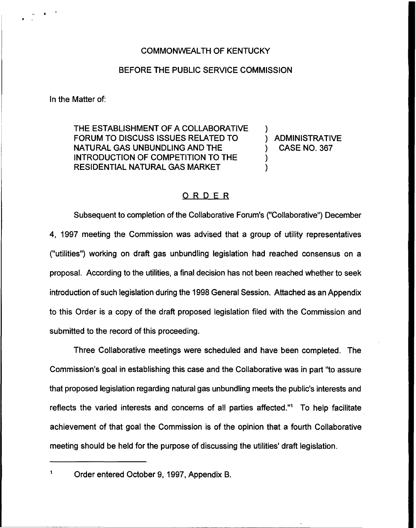### BEFORE THE PUBLIC SERVICE COMMISSION

In the Matter of:

THE ESTABLISHMENT OF A COLLABORATIVE FORUM TO DISCUSS ISSUES RELATED TO NATURAL GAS UNBUNDLING AND THE INTRODUCTION OF COMPETITION TO THE RESIDENTIAL NATURAL GAS MARKET

) ADMINISTRATIVE ) CASE NO. 367

)

) )

### ORDER

Subsequent to completion of the Collaborative Forum's ("Collaborative") December 4, 1997 meeting the Commission was advised that a group of utility representatives ("utilities") working on draft gas unbundling legislation had reached consensus on a proposal. According to the utilities, a final decision has not been reached whether to seek introduction of such legislation during the 1998 General Session. Attached as an Appendix to this Order is a copy of the draft proposed legislation filed with the Commission and submitted to the record of this proceeding.

Three Collaborative meetings were scheduled and have been completed. The Commission's goal in establishing this case and the Collaborative was in part "to assure that proposed legislation regarding natural gas unbundling meets the public's interests and reflects the varied interests and concerns of all parties affected."<sup>1</sup> To help facilitate achievement of that goal the Commission is of the opinion that a fourth Collaborative meeting should be held for the purpose of discussing the utilities' draft legislation.

Order entered October 9, 1997, Appendix B.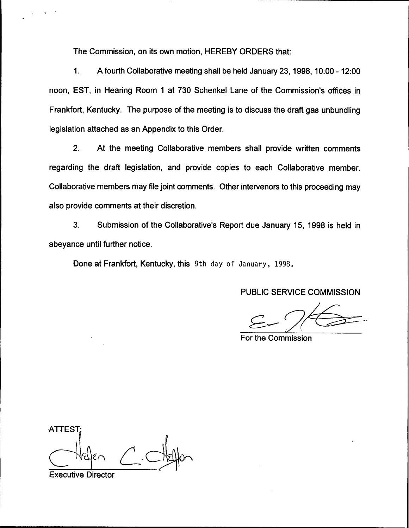The Commission, on its own motion, HEREBY ORDERS that:

1. A fourth Collaborative meeting shall be held January 23, 1998, 10:00-12:00 noon, EST, in Hearing Room 1 at 730 Schenkel Lane of the Commission's offices in Frankfort, Kentucky. The purpose of the meeting is to discuss the draft gas unbundling legislation attached as an Appendix to this Order.

2. At the meeting Collaborative members shall provide written comments regarding the draft legislation, and provide copies to each Collaborative member. Collaborative members may file joint comments. Other intervenors to this proceeding may also provide comments at their discretion.

3. Submission of the Collaborative's Report due January 15, 1998 is held in abeyance until further notice.

Done at Frankfort, Kentucky, this 9th day of January, 1998.

PUBLIC SERVICE COMMISSION

For the Commission

**ATTEST** 

Executive Director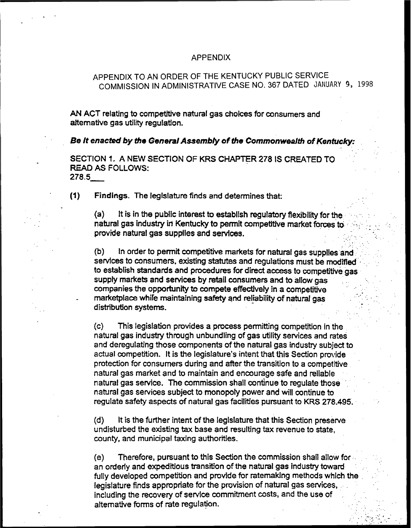#### APPENDIX

### APPENDIX TO AN ORDER OF THE KENTUCKY PUBLIC SERVICE COMMISSION IN ADMINISTRATIVE CASE NO. 367 DATED JANUARY 9, 1998

AN ACT relating to competitive natural gas choices for consumers and alternative gas utility regulation.

Be It enacted by the General Assembly of the Commonwealth of Kentucky:

SECTION 1. A NEW SECTION OF KRS CHAPTER 278 IS CREATED TO READ AS FOLLOWS:  $278.5$ 

(0) Findings. The legislature finds and determines that:

(a) It is in the public interest to establish regulatory flexibility for the natural gas industry ih Kentucky to permit competitive market forces to provide natural gas supplies and services.

(b) In order to permit competitive markets for natural gas supplies and services to consumers, existing statutes and regulations must be modified to establish standards and procedures for direct access to competitive gas supply markets and services by retail consumers and to allow gas companies the opportunity to compete effectively in a competitive marketplace whife maintaining safety and reliability of natural gas distribution systems.

(c) This legislation provides a process permitting competition in the natural gas industry through unbundling of gas utility services and rates and deregulating those components of the natural gas industry subject to actual competition. It is the legislature's intent that this Section provide protection for consumers during and after the transition to a competitive natural gas market and to maintain and encourage safe and reliabie natural gas service. The commission shall continue to regulate those natural gas services subject to monopoly power and will continue to regulate safety aspects of natural gas facilities pursuant to KRS 278.495.

(d) It is the further intent of the legislature that this Section preserve undisturbed the existing tax base and resulting tax revenue to state, county, and municipal taxing authorities.

(e) Therefore, pursuant to this Section the commission shall allow for an orderly and expeditious transition of the natural gas industry toward fully developed competition and provide for ratemaklng methods which the legislature finds appropriate for the provision of natural gas services, including the recovery of service commitment costs, and the use of alternative forms of rate regulation.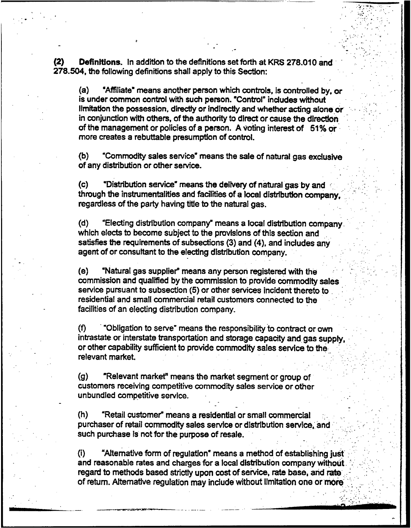Definitions. In addition to the definitions set forth at KRS 278.010 and 278.504, the following definitions shall apply to this Section:

(a) "Affiliate" means another person which controls, is controlled by, or is under common control with such person. "Control" includes without limitation the possession, directly or indirectly and whether acting alone or in conjunction with others, of the authority to direct or cause the direction of the management or policies of a person. A voting interest of 51%or more creates a rebuttable presumption of control.

(b) "Commodity sales service means the sale of natural gas exclusive of any distribution or other service.

(c) "Distribution service" means the delivery of natural gas by and '' through the instrumentalities and facilities of a local distribution company, regardless of the party having title to the natural gas.

(d) "Electing distribution company" means a local distribution company. which elects to become subject to the provisions of this section and satisfies the requirements of subsections (3) and (4), and includes any agent of or consultant to the electing distribution company.

(e) "Natural gas supplier" means any person registered with the commission and qualified by the commission to provide commodity sales service pursuant to subsection (5) or other services incident thereto to residential and small commercial retail customers connected to the facilities of an electing distribution company.

 $(f)$  "Obligation to serve" means the responsibility to contract or own intrastate or interstate transportation and storage capacity and gas supply, or other capability sufficient to provide commodity sales service to the relevant market

(g) "Relevant market" means the market segment or group of customers receiving competitive commodity sales service or other unbundled competitive service.

(h) "Retail customer" means a residential or small commercial purchaser of retail commodity sales service or distribution service, and such purchase is not for the purpose of resale.

 $(i)$  "Alternative form of regulation" means a method of establishing just and reasonable rates and charges for a local distribution company without. '. regard to methods based strictly upon cost of service, rate base, and rate of return. Alternative regulation may include without limitation one or more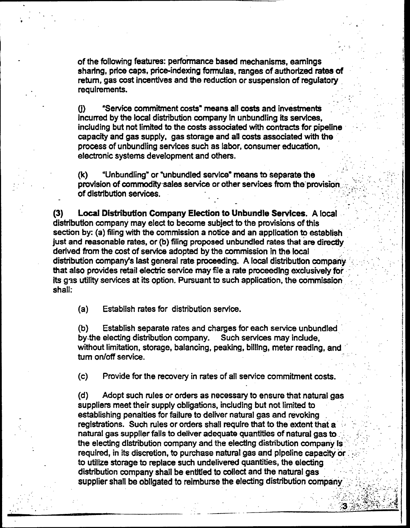of the following features: performance based mechanisms, earnings sharing, price caps, price-indexing formulas, ranges of authorized rates of return, gas cost incentives and the reduction or suspension of regulatory requirements.

(i) "Service commitment costs" means all costs and investments incurred by the local distribution company In unbundling its services, inciuding but not limited to the costs associated with contracts for pipeline capacity and gas supply, gas storage and all costs associated with the process of unbundling services such as labor, consumer education, electronic systems development and others.

(k) "Unbundling" or "unbundled service" means to separate the provision of commodity sales service or other services from the provision of distrlbutlon services.

(3) Local Distribution Company Election to Unbundle Services. A local distribution company may elect to become subject to the provisions ofthis section by: (a) filing with the commission a notice and an application to establish just and reasonable rates, or (b) filing proposed unbundled rates that are directly derived from the cost of service adopted by the commission in the local distribution company's last general rate proceeding. A local distribution company '-: that also provides retail electric service may file a rate proceeding exclusively for its gas utility services at its option. Pursuant to such application, the commission shall.

(a) Establish rates for distribution service.

(b) Establish separate rates and charges for each service unbundled by.the electing distribution company. Such services may include, without limitation, storage, balancing, peaking, billing, meter reading, and turn on/off service.

(c) Provide for the recovery in rates of all service commitment costs.

(d) Adopt such rules or orders as necessary to ensure that natural gas suppliers meet their supply obligations, including but not limited to establishing penalties for failure to deliver natural gas and revoking registrations. Such rules or orders shall require that to the extent that a natural gas supplier fails to deliver adequate quantities of natural gas to. the electing distribution company and the electing distribution company Is required, in its discretion, to purchase natural gas and pipeline capacity or to utilize storage to replace such undelivered quantities, the electing distribution company shall be entitied to collect and the natural gas supplier shall be obligated to reimburse the electing distribution company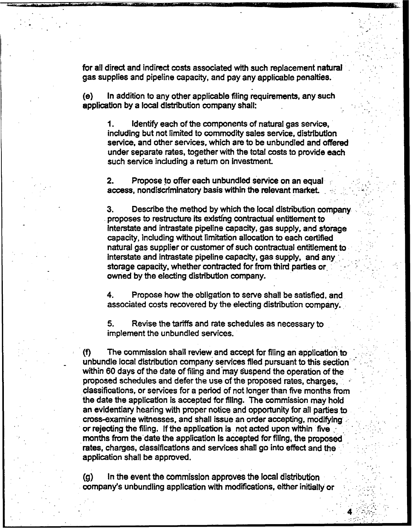for all direct and indirect costs associated with such replacement natural . gas supplies and pipeline capacity, and pay any applicable penalties.

(e) In addition to any other applicable filing requirements, any such application by a local distribution company shall:

Identify each of the components of natural gas service, 1. including but not limited to commodity sales service, distribution service, and other services, which are to be unbundled and offered under separate rates, together with the total costs to provide each such service induding a return on investment.

2. Propose to offer each unbundled service on an equal: access, nondiscriminatory basis within the relevant market.

3. Describe the method by which the local distribution company . proposes to restructure its existing contractual entitlement to interstate and intrastate pipeline capacity, gas supply, and storage capacity, including without limitation allocation to each certified natural gas supplier or customer of such contractual entitlement to Interstate and intrastate pipeline capacity, gas supply, and any storage capacity, whether contracted for from third parties or owned by the electing distribution company.

4. Propose how the obligation to serve shall be satisfied, and associated costs recovered by the electing distribution company.

5. Revise the tariffs and rate schedules as necessary to impIement the unbundled services.

(f} The commission shall review and accept for filing an application to unbundie local distribution company services filed pursuant to this section within 60 days of the date of filing and may suspend the operation of the proposed schedules and defer the use of the proposed rates, charges, classifications, or services for a period of not longer than five months from the date the application is accepted for filing. The commission may hold an evidentiary hearing with proper notice and opportunity for ail parties to cross-examine witnesses, and shall issue an order accepting, modifying or rejecting the filing. If the application is not acted upon within five, months from the date the application ls accepted for filing, the proposed rates, charges, classifications and services shall go into effect and the application shall be approved.

(g} In the event the commission approves the local distribution company's unbundling application with modifications, either initially or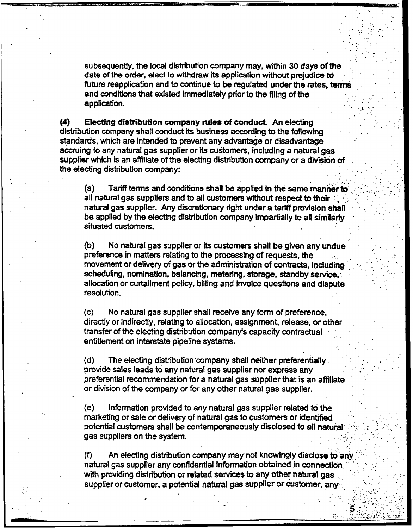subsequently, the local distribution company may, within 30 days of the date of the order, elect to withdraw its application without prejudice to future reapplication and to continue to be regulated under the rates, terms and conditions that existed immediately prior to the filing of the application.

 $(4)$  Electing distribution company rules of conduct. An electing distribution company shall conduct its business according to the following standards, which are intended to prevent any advantage or disadvantage accruing to any natural gas supplier or fts customers, including a natural gas supplier which is an affiliate of the electing distribution company or a division of the electing distribution company:

 $(a)$  Tariff terms and conditions shall be applied in the same manner to all natural gas suppliers and to all customers without respect to their natural gas supplier. Any discretionary right under a tariff provision shall be applied by the electing distribution company impartially to all similarly situated customers.

(b) No natural gas supplier or its customers shall be given any undue preference in matters relating to the processing of requests, the movement or delivery of gas or the administration of contracts, including.. scheduling, nomination, balancing, metering, storage, standby service, allocation or curtailment policy, billing and invoice questions and dispute resolution.

(c) No natural gas supplier shall receive any form of preference, directly or indirectly, relating to allocation, assignment, release, or other transfer of the electing distribution company's capacity contractuaf entitlement on interstate pipeline systems.

(d) The electing distribution company shall neither preferentially provide sales feads to any natural gas supplier nor express any preferential recommendation for a natural gas supplier that is an affiliate or division of the company or for any other natural gas supplier.

(e) Information provided to any naturaf gas supplier related to the marketing or sale or delivery of natural gas to customers or identified potential customers shall be contemporaneously disclosed to all natural gas suppliers on the system.

(f) An electing distribution company may not knowingly disclose to any,:: natural gas supplier any confidential information obtained in connection with providing distribution or related services to any other natural gas supplier or customer, a potential natural gas supplier or customer, any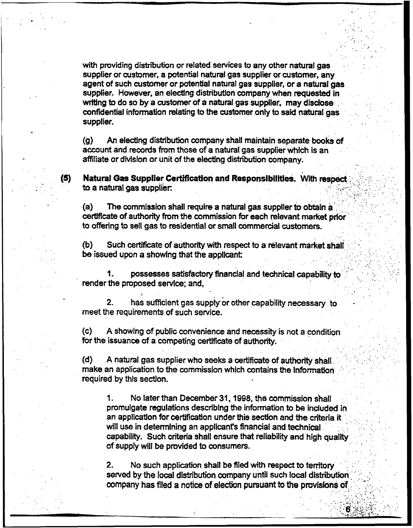with providing distribution or related services to any other natural gas supplier or customer, a potential natural gas supplier or customer, any agent of such customer or potential natural gas supplier, or a natural gas supplier. However, an electing distribution company when requested in writing to do so by a customer of a natural gas supplier, may disclose confidential information relating to the customer only to said natura! gas supplier.

(g) An electing distribution company shall maintain separate books of account and records from those of a natural gas supplier which is an affiliate or division or unit of the electing distribution company.

(5) Natural Gas Supplier Certification and Responsibilities. With respect to a natural gas supplier.

(a) The commission shall require a natural gas supplier to obtain a certificate of authority from the commission for each relevant market prior to offering to sell gas to residential or small commercial customers.

 $(b)$  Such certificate of authority with respect to a relevant market shall be issued upon a showing that the applicant:

 $\mathbf 1$ . possesses satisfactory financial and technical capability to render the proposed service; and,

2. has sufficient gas supplyor other capability necessary to meet the requirements of such service.

(c) A showing of public convenience and necessity is not a condition for the issuance of a competing certificate of authority.

 $(d)$  A natural gas supplier who seeks a certificate of authority shall. make an application to the commission which contains the information required by this section.

1. No later than December 31, 1998, the commission shall promulgate regulations describing the information to be included in an application for certification under this section and the criteria it will use in determining an applicant's financial and technical capability. Such criteria shall ensure that reliability and high quality of supply will be provided to consumers.

2. No such application shall be filed with respect to territory served by the local distribution company until such local distribution company has filed a notice of election pursuant to the provisions of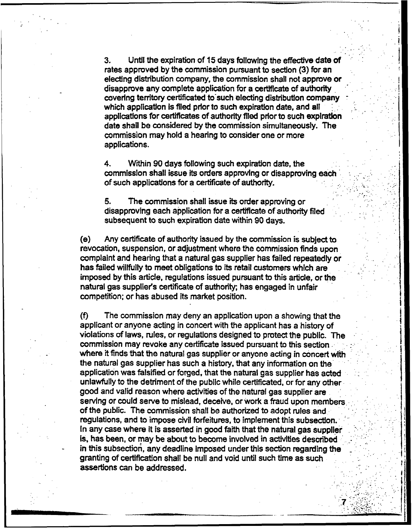3. Vntii the expiration of 15days following the effective date Of rates approved by the commission pursuant to section (3) for an electing distribution company, the commission shall not approve or disapprove any complete application for a certificate of authority covering territory certificated to such electing distribution companywhich application is filed prior to such expiration date, and all applications for certificates of authority filed prior to such expiration date shall be considered by the commission simultaneously. The commission may hold a hearing to consider one or more applications.

4. Within 90 days following such expiration date, the commissIon shall issue its orders approving or disapproving each of such applications for a certificate of authority.

5. The commission shall issue its order approving or disapproving each application for a certificate of authority filed subsequent to such expiration date within 90 days.

(e) Any certificate of authority issued by the commission is subject to revocation, suspension, or adjustment where the commission finds upon complaint and hearing that a natural gas supplier has failed repeatedly or has failed willfully to meet obligations to its retail customers which are imposed by this article, regulations issued pursuant to this article, or the natural gas supplier's certificate of authority; has engaged in unfair competition; or has abused its market position.

(f) The commission may deny an application upon a showing that the applicant or anyone acting in concert with the applicant has a history of violations of laws, rules, or regulations designed to protect the public. The commission may revoke any certificate issued pursuant to this section. where it finds that the natural gas supplier or anyone acting in concert with the natural gas supplier has such a history, that any information on the application was falsified or forged, that the natural gas supplier has acted unlawfully to the detriment of the public while certificated, or for any other good and valid reason where activities of the natural gas supplier are serving or could serve to mislead, deceive, or work a fraud upon members of the public. The commission shall be authorized to adopt rules and regulations, and to impose civil forfeitures, to implement this subsection. In any case where it is asserted in good faith that the natural gas supplier is, has been, or may be about to become involved in activities described in this subsection, any deadline imposed under this section regarding the granting of certification shall be null and void until such time as such assertions can be addressed.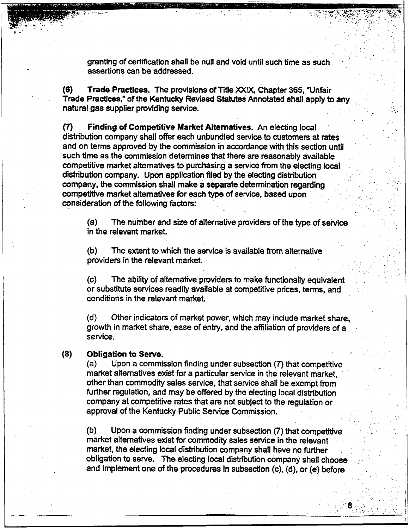granting of certification shall be null and void until such time as such assertions can be addressed.

(6) Trade Practices. The provisions of Title XXIX, Chapter 365, Unfair Trade Practices," of the Kentucky Revised Statutes Annotated shall apply to any natural gas supplier providing service.

(7) Finding of Competitive Market Alternatives. An electing local distribution company shall offer each unbundled service to customers at rates and on terms approved by the commission in accordance with this section until such time as the commission determines that there are reasonably available competitive market alternatives to purchasing a service from the electing local distribution company. Upon application filed by the electing distribution company, the commission shall make a separate determination regarding competitive market alternatives for each type of service, based upon consideration of the following factors:

 $(a)$  The number and size of alternative providers of the type of service in the relevant market.

(b) The extent to which the service is available from alternative providers in the relevant market.

(c) The ability of alternative providers to make functionally equivalent or substitute services readily available at competitive prices, terms, and conditions in the relevant market.

(d) Other indicators of market power, which may include market share, growth in market share, ease of entry, and the affiliation of providers of a service.

# (8) **Obligation to Serve.**<br>(a) Upon a commis

Upon a commission finding under subsection (7) that competitive market alternatives exist for a particular service in the relevant market, other than commodity sales service, that service shall be exempt from further regulation, and may be offered by the electing local distribution company at competitive rates that are not subject to the regulation or approval of the Kentucky Public Service Commission.

 $(b)$  Upon a commission finding under subsection  $(7)$  that competitive market alternatives exist for commodity sales service in the relevant market, the electing local distribution company shall have no further obligation to serve. The electing local distribution company shall choose and implement one of the procedures in subsection (c), (d). or (e) before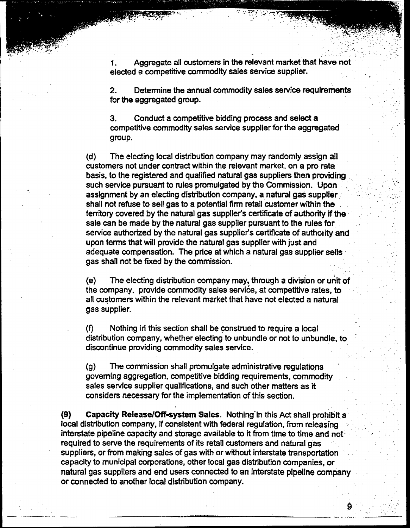1. Aggregate ail customers in the relevant market that have not elected a competitive commodity sales service supplier.

2. Determine the annual commodity sales service requirements for the aggregated group.

3. Conduct a competitive bidding process and select a competitive commodity sales service supplier for the aggregated group.

(d) The electing local distnbution company may randomly assign all customers not under contract within the relevant market, on a pro rata basis, to the registered and qualified natural gas suppliers then providing such service pursuant to rules promulgated by the Commission. Upon assignment by an electing distribution company, a natural gas supplier . shall not refuse to sell gas to a potential firm retail customer within the territory covered by the natural gas supplier's certificate of authority if the sale can be made by the natural gas supplier pursuant to the rules for service authorized by the natural gas supplier's certificate of authority and upon terms that will provide the natural gas supplier with just and adequate compensation, The price at which a natural gas supplier sells gas shall not be fixed by the commission.

(e) The electing distribution company may, through a division or unit of the company, provide commodity sales service, at competitive rates, to all customers within the relevant market that have not elected a natural gas supplier.

(f) Nothing iri this section shall be construed to require a local distribution company, whether electing to unbundle or not to unbundle, to discontinue providing commodity sales service.

(g) The commission shall promulgate administrative regulations governing aggregation, competitive bidding requirements, commodity . sales service supplier qualifications, and such other matters as it considers necessary for the implementation of this section.

(9) Capacity Release/Off-system Sales. Nothing in this Act shall prohibit a local distribution company, if consistent with federal regulation, from releasing interstate pipeline capacity and storage available to it from time to time and not required to serve the requirements of its retail customers and natural gas suppliers, or from making sales of gas with or without interstate transportation: capacity to municipal corporations, other local gas distribution companies, or natural gas suppliers and end users connected to an interstate pipeline company or connected to another local distribution company.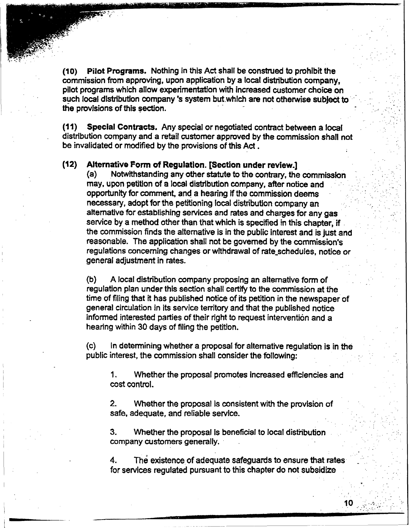(10) Pilot Programs. Nothing in this Act shall be construed to prohibit the commission from approving, upon application by a local distribution company, pilot programs which allow expenmentation with increased customer choice on such focal distribution company 's system butwhich are not otherwise subject to the provisions of this section.

(11) Special Contracts. Any special or negotiated contract between a local distribution company and a retail customer approved by the commission shall not be invalidated or modified by the provisions of this Act.

# (12) Alternative Form of Regulation. [Section under review.]<br>(a) Notwithstanding any other statute to the contrary, the

~ ~ h.v

> Notwithstanding any other statute to the contrary, the commission may, upon petition of a local distribution company, after notice and opportunity for comment, and a hearing lf the commission deems necessary, adopt for the petitioning local distribution company an alternative for establishing services and rates and charges for any gas service by a method other than that which is specified in this chapter, if the commission finds the alternative is in the public interest and is just and reasonable. The application shall not be governed by the commission's regulations concerning changes or withdrawal of rate schedules, notice or general adjustment in rates.

(b) A local distribution company proposing an alternative form of regulation plan under this section shall certify to the commission at the time of filing that it has published notice of its petition in the newspaper of general circulation in its service territory and that the published notice Informed interested parties of their right to request intervention and a hearing within 30 days of filing the petition.

(c) In determining whether a proposal for alternative regulation is in the public interest, the commission shall consider the following:

1. Whether the proposal promotes increased efliciencies and cost control.

2. Whether the proposal is consistent with the provision of safe, adequate, and reliable service.

3. Whether the proposal is beneficial to local distribution company customers generally.

4. The existence of adequate safeguards to ensure that rates for services regulated pursuant to this chapter do not subsidize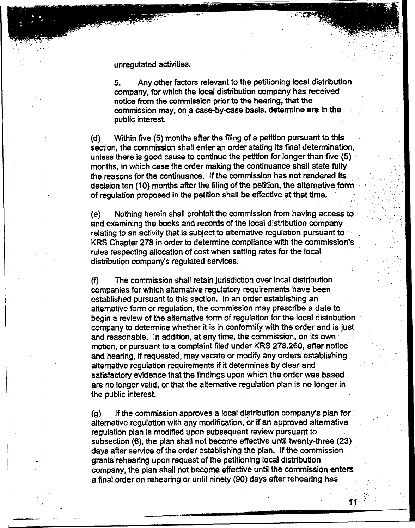unregulated activities.

5. Any other factors relevant to the petitioning local distribution company, for which the local distribution company has received notice from the commission prior to the hearing, that the commission may, on a case-by-case basis, determine are In the public interest.

{d} Within five (5) months after the filing of a petition pursuant to this section, the commission shall enter an order stating its final determination, unless there is good cause to continue the petition for longer than five (5) months, in which case the order making the continuance shall state fully the reasons for the continuance. If the commission has not rendered its decision ten (10) months after the filing of the petition, the alternative form of regulation proposed in the petition shall be effective at that time.

(e) Nothing herein shall prohibit the commission from having access toand examining the books and records of the local distribution company relating to an activity that is subject to alternative regulation pursuant to-KRS Chapter 278 in order to determine compliance with the commission's rules respecting allocation of cost when setting rates for the local distribution company's regulated services.

(f} The commission shall retain jurisdiction over local distribution companies for which alternative regulatory requirements have been established pursuant to this section. In an order establishing an alternative form or regulation, the commission may prescribe a date to begin a review of the alternative form of regulation for the local distribution company to determine whether it is in conformity with the order and is just and reasonable. In addition, at any time, the commission, on its own motion, or pursuant to a complaint filed under KRS 278.260, after notice and hearing, if requested, may vacate or modify any orders establishing alternative regulation requirements if it determines by clear and satisfactory evidence that the findings upon which the order was based are no longer valid, or that the alternative regulation plan is no longer in the public interest.

(g) If the commission approves a local distribution company's plan for alternative regulation with any modification, or if an approved alternative regulation plan is modified upon subsequent review pursuant to subsection (6), the plan shall not become effective until twenty-three (23) days after service of the order establishing the plan. If the commission grants rehearing upon request of the petitioning local distribution company, the plan shall not become effective until the commission enters a final order on rehearing or until ninety (90) days after rehearing has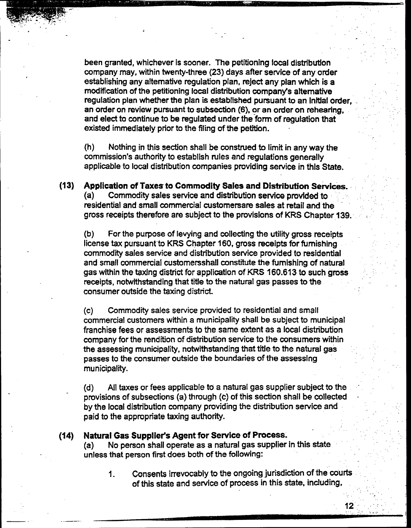been granted, whichever is sooner. The petitioning local distribution company may, within twenty-three (23) days after service of any order establishing any alternative regulation plan, reject any plan which is a modification of the petitioning local distribution company's alternative regulation plan whether the plan is established pursuant to an Initial order, an order on review pursuant to subsection (6), or an order on rehearing, and elect to continue to be regulated under the form of regulation that existed immediately prior to the filing of the petition.

(h) Nothing in this section shall be construed to limit in any way the commission's authority to establish rules and regulations generally applicable to local distribution companies providing service in this State.

(13) Application of Taxes to Commodity Sales and Distribution Services. (a) Commodity sales service and distribution service provided to residential and small commercial custornersare sales at retait and the gross receipts therefore are subject to the provisions of KRS Chapter 139,

(b) For the purpose of levying and collecting the utility gross receipts license tax pursuant to KRS Chapter 160, gross receipts for furnishing commodity sales service and distribution service provided to residential and smail commercial customersshall constitute the furnishing of natural gas within the taxing district for application of KRS 160,613to such gross receipts, notwithstanding that title to the natural gas passes to the consumer outside the taxing district.

(c) Commodity sales service provided to residential and small commercial customers within a municipality shall be subject to municipal franchise fees or assessments to the same extent as a local distribution company for the rendition of distribution service to the consumers within the assessing municipality, notwithstanding that title to the natural gas passes to the consumer outside the boundaries of the assessing municipality.

(d) All taxes or fees applicable to a natural gas supplier subject to the provisions of subsections (a) through (c) of this section shall be collected by the local distribution company providing the distribution service arid paid to the appropriate taxing authority.

(14) Natural Gas Supplier's Agent for Service of Process.

No person shall operate as a natural gas supplier in this state unless that person first does both of the following:

Consents irrevocably to the ongoing jurisdiction of the courts  $1<sub>1</sub>$ of this state and service of process in this state, including,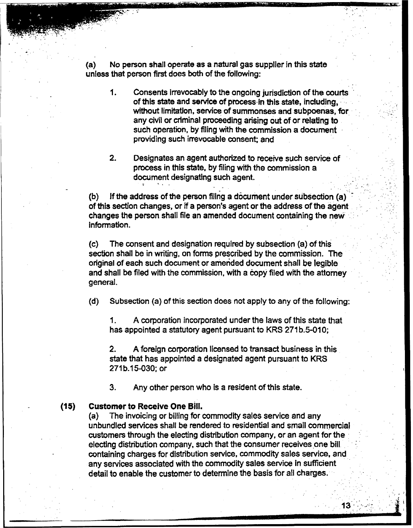(a) No person shall operate as a natural gas supplier in this state unless that person first does both of the following:

- 1. Consents irrevocably to the ongoing jurisdiction of the courts of this state and service of process in this state, including, without limitation, service of summonses and subpoenas, for any civil or criminal proceeding arising out of or relating to such operation, by filing with the commission a document providing such irrevocable consent; and
- 2. Designates an agent authorized to receive such service of process in this state, by filing with the commission a document designating such agent.

(b) lf the address of the person filing a document under subsection (a) of this section changes, or if a person's agent or the address of the agent changes the person shall file an amended document containing the new information.

(c) The consent and designation required by subsection (a) of this section shall be in writing, on forms prescribed by the commission. The original of each such document or amended document shall be legible and shall be filed with the commission, with a copy filed with the attorney general.

(d) Subsection (a) of this section does not apply to any of the following:

1. A corporation incorporated under the laws of this state that has appointed a statutory agent pursuant to KRS 271b.5-010;

2. A foreign corporation licensed to transact business in this state that has appointed a designated agent pursuant to KRS 271b.15-030;or

3. Any other person who is a resident of this state.

#### (15) Customer to Receive One Sill.

(a) The invoicing or billing for commodity sales service and any unbundled services shall be rendered to residential and small commercial customers through the electing distribution company, or an agent for the electing distribution company, such that the consumer receives one bill containing charges for distribution service, commodity sales service, arid any services associated with the commodity sales service in sufficient detail to enable the customer to determine the basis for all charges.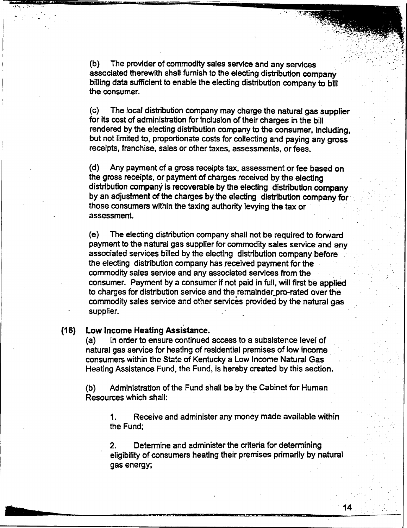(b) The provider of commodity sales service and any services associated therewith shall furnish to the electing distribution company billing data sufficient to enabfe the electing distribution company to bill the consumer.

(c) The local distribution company may charge the natural gas supplier for its cost of administration for inclusion of their charges in the bill rendered by the electing distribution company to the consumer, including, but not limited to, proportionate costs for collecting and paying any gross receipts, franchise, sales or other taxes, assessments, or fees.

(d) Any payment of a gross receipts tax, assessment or fee based on the gross receipts, or payment of charges received by the electing distribution company'is recoverable by the electing distribution company by an adjustment of the charges by the electing distribution company for those consumers within the taxing authority levying the tax or assessment.

(e) The electing distribution company shall not be required to forward payment to the natural gas supplier for commodity sales service and any associated services billed by the electing distribution company before the electing distribution company has received payment for the commodity sales service and any associated services from the consumer. Payment by a consumer if not paid in full, wi)l first be applied to charges for distribution service and the remainder pro-rated over the commodity sales service and other services provided by the natural gas supplier.

### (16) Low Income Heating Assistance.

(a) In order to ensure continued access to a subsistence level of natural gas service for heating of residential premises of Iow income consumers within the State of Kentucky a Low Income Natural Gas Heating Assistance Fund, the Fund, is hereby created by this section.

(b) Administration of the Fund shall be by the Cabinet for Human Resources which shall:

1. Receive and administer any money made available within the Fund;

2. Determine and administer the criteria for determining eligibility of consumers heating their premises primarily by natural gas energy;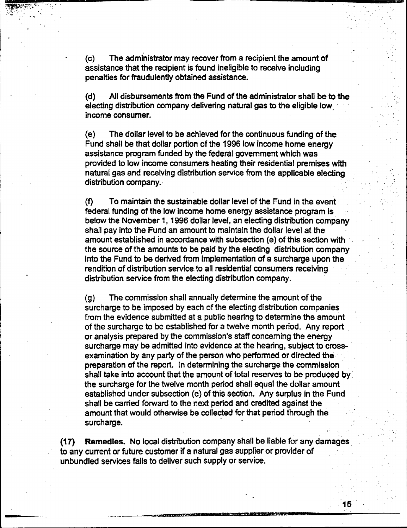(c) The administrator may recover from a recipient the amount of assistance that the recipient is found ineligible to receive including penalties for fraudulently obtained assistance.

 $(d)$  All disbursements from the Fund of the administrator shall be to the electing distribution company delivering natural gas to the eligible low: income consumer.

(e) The dollar level to be achieved for the continuous funding of the Fund shall be that dollar portion of the 1996 low income home energy assistance program funded by the federal government which was provided to low income consumers heating their residential premises with natural gas and receiving distribution service from the applicable electing distribution company.

(f) To maintain the sustainable dollar level of the Fund in the event federal funding of the low income home energy assistance program is below the November 1, 1996 dollar level, an electing distribution company shall pay into the Fund an amount to maintain the dollar level at the amount established in accordance with subsection (e) of this section with the source of the amounts to be paid by the electing distribution company into the Fund to be derived from implementation of a surcharge upon the rendition of distribution service. to all residential consumers receiving distribution service from the electing distribution company.

(g) The commission shall annually determine the amount of the surcharge to be imposed by each of the electing distribution companies from the evidence submitted at a public hearing to determine the amount of the surcharge to be established for a twelve month period. Any report or analysis prepared by the commission's staff concerning the energy surcharge may be admitted into evidence at the hearing, subject to crossexamination by any party of the person who performed or directed the preparation of the report. ln determining the surcharge the commission shall take into account that the amount of total reserves to be produced by the surcharge for the twelve month period shall equal the dollar amount established under subsection (e) of this section. Any surplus in the Fund shall be carried forward to the next period and credited against the amount that would otherwise be collected for that period through the surcharge.

(17) Remedies. No local distribution company shall be liable for any damages to any current or future customer if a natural gas supplier or provider of unbundled services fails to deliver such supply or service.